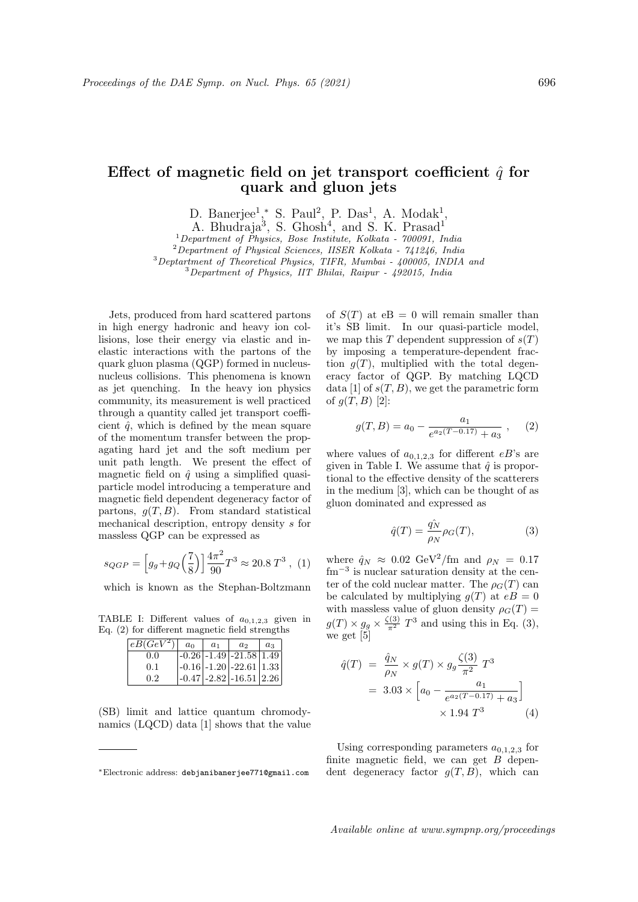## Effect of magnetic field on jet transport coefficient  $\hat{q}$  for quark and gluon jets

D. Banerjee<sup>1</sup>,\* S. Paul<sup>2</sup>, P. Das<sup>1</sup>, A. Modak<sup>1</sup>,

A. Bhudraja<sup>3</sup>, S. Ghosh<sup>4</sup>, and S. K. Prasad<sup>1</sup>

 $1$ Department of Physics, Bose Institute, Kolkata - 700091, India

<sup>2</sup>Department of Physical Sciences, IISER Kolkata - 741246, India

<sup>3</sup>Deptartment of Theoretical Physics, TIFR, Mumbai - 400005, INDIA and <sup>3</sup>Department of Physics, IIT Bhilai, Raipur - 492015, India

Jets, produced from hard scattered partons in high energy hadronic and heavy ion collisions, lose their energy via elastic and inelastic interactions with the partons of the quark gluon plasma (QGP) formed in nucleusnucleus collisions. This phenomena is known as jet quenching. In the heavy ion physics community, its measurement is well practiced through a quantity called jet transport coefficient  $\hat{q}$ , which is defined by the mean square of the momentum transfer between the propagating hard jet and the soft medium per unit path length. We present the effect of magnetic field on  $\hat{q}$  using a simplified quasiparticle model introducing a temperature and magnetic field dependent degeneracy factor of partons,  $g(T, B)$ . From standard statistical mechanical description, entropy density s for massless QGP can be expressed as

$$
s_{QGP} = \left[ g_g + g_Q \left( \frac{7}{8} \right) \right] \frac{4\pi^2}{90} T^3 \approx 20.8 T^3 , \tag{1}
$$

which is known as the Stephan-Boltzmann

TABLE I: Different values of  $a_{0,1,2,3}$  given in Eq. (2) for different magnetic field strengths

| $ eB(GeV^2) $ | $a_0$ | a <sub>1</sub> | a <sub>2</sub>                                             | $a_3$ |
|---------------|-------|----------------|------------------------------------------------------------|-------|
| 0.0           |       |                | $\left  -0.26 \right $ - 1.49 $\left  -21.58 \right $ 1.49 |       |
| 0.1           |       |                | $\left[-0.16\right]$ -1.20 $\left[-22.61\right]$ 1.33      |       |
| 0.2           |       |                | $\left  -0.47 \right $ - 2.82 $\left  -16.51 \right $ 2.26 |       |

(SB) limit and lattice quantum chromodynamics (LQCD) data [1] shows that the value of  $S(T)$  at eB = 0 will remain smaller than it's SB limit. In our quasi-particle model, we map this T dependent suppression of  $s(T)$ by imposing a temperature-dependent fraction  $q(T)$ , multiplied with the total degeneracy factor of QGP. By matching LQCD data [1] of  $s(T, B)$ , we get the parametric form of  $q(T, B)$  [2]:

$$
g(T, B) = a_0 - \frac{a_1}{e^{a_2(T - 0.17)} + a_3} , \quad (2)
$$

where values of  $a_{0,1,2,3}$  for different eB's are given in Table I. We assume that  $\hat{q}$  is proportional to the effective density of the scatterers in the medium [3], which can be thought of as gluon dominated and expressed as

$$
\hat{q}(T) = \frac{\hat{q}_N}{\rho_N} \rho_G(T),\tag{3}
$$

where  $\hat{q}_N \approx 0.02 \text{ GeV}^2/\text{fm}$  and  $\rho_N = 0.17$ fm<sup>-3</sup> is nuclear saturation density at the center of the cold nuclear matter. The  $\rho_G(T)$  can be calculated by multiplying  $g(T)$  at  $eB = 0$ with massless value of gluon density  $\rho_G(T) =$  $g(T) \times g_g \times \frac{\zeta(3)}{\pi^2} T^3$  and using this in Eq. (3), we get [5]

$$
\hat{q}(T) = \frac{\hat{q}_N}{\rho_N} \times g(T) \times g_g \frac{\zeta(3)}{\pi^2} T^3
$$
  
= 3.03 \times \left[ a\_0 - \frac{a\_1}{e^{a\_2(T - 0.17)} + a\_3} \right] \times 1.94 T^3 \tag{4}

Using corresponding parameters  $a_{0,1,2,3}$  for finite magnetic field, we can get  $B$  dependent degeneracy factor  $q(T, B)$ , which can

Available online at www.sympnp.org/proceedings

<sup>∗</sup>Electronic address: debjanibanerjee771@gmail.com